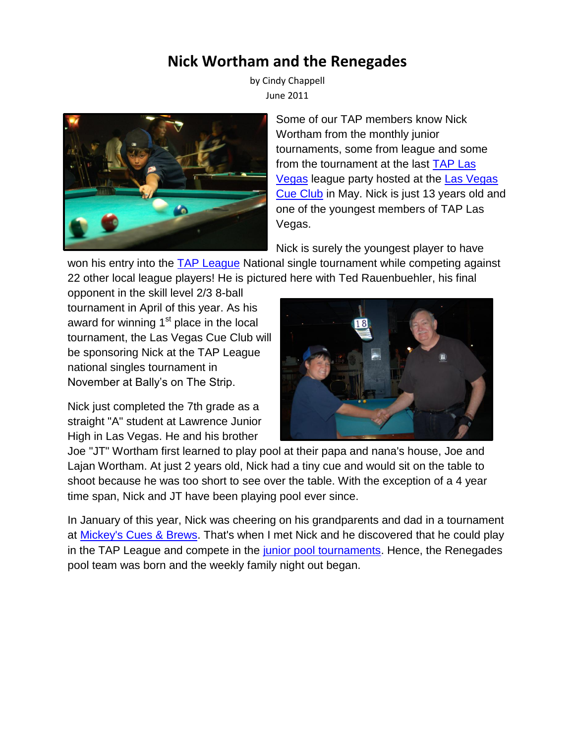## **Nick Wortham and the Renegades**

by Cindy Chappell June 2011



Some of our TAP members know Nick Wortham from the monthly junior tournaments, some from league and some from the tournament at the last [TAP Las](http://www.taplasvegas.com/)  [Vegas](http://www.taplasvegas.com/) league party hosted at the [Las Vegas](http://www.lvcueclub.com/Welcome.html)  [Cue Club](http://www.lvcueclub.com/Welcome.html) in May. Nick is just 13 years old and one of the youngest members of TAP Las Vegas.

Nick is surely the youngest player to have

won his entry into the **[TAP League](http://www.tapleague.com/)** National single tournament while competing against 22 other local league players! He is pictured here with Ted Rauenbuehler, his final

opponent in the skill level 2/3 8-ball tournament in April of this year. As his award for winning  $1<sup>st</sup>$  place in the local tournament, the Las Vegas Cue Club will be sponsoring Nick at the TAP League national singles tournament in November at Bally's on The Strip.

Nick just completed the 7th grade as a straight "A" student at Lawrence Junior High in Las Vegas. He and his brother



Joe "JT" Wortham first learned to play pool at their papa and nana's house, Joe and Lajan Wortham. At just 2 years old, Nick had a tiny cue and would sit on the table to shoot because he was too short to see over the table. With the exception of a 4 year time span, Nick and JT have been playing pool ever since.

In January of this year, Nick was cheering on his grandparents and dad in a tournament at [Mickey's Cues](http://www.mickeyscues.com/) & Brews. That's when I met Nick and he discovered that he could play in the TAP League and compete in the [junior pool tournaments.](http://taplasvegas.com/tournaments.html#junior) Hence, the Renegades pool team was born and the weekly family night out began.